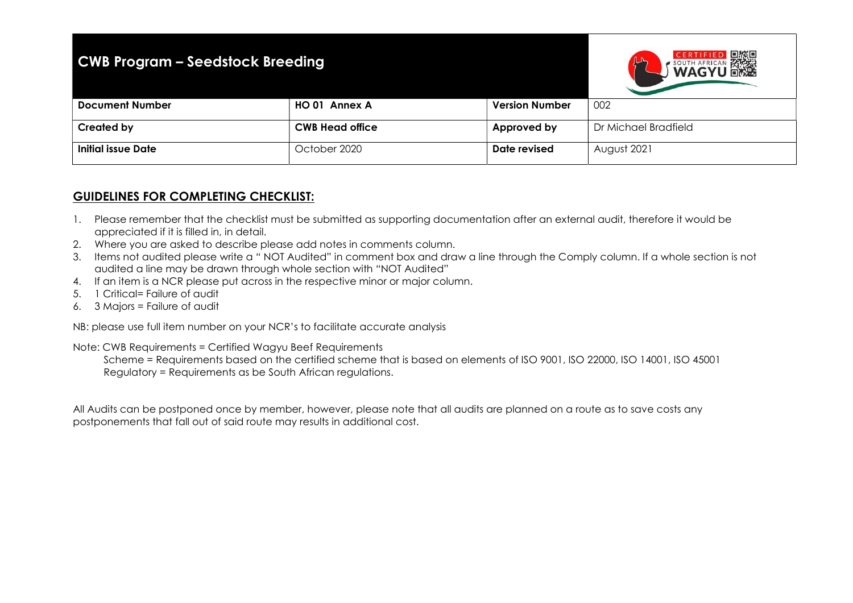## CWB Program – Seedstock Breeding



| <b>Document Number</b>    | HO 01 Annex A          | <b>Version Number</b> | 002                  |
|---------------------------|------------------------|-----------------------|----------------------|
|                           |                        |                       |                      |
| <b>Created by</b>         | <b>CWB Head office</b> | Approved by           | Dr Michael Bradfield |
| <b>Initial issue Date</b> | October 2020           | Date revised          | August 2021          |
|                           |                        |                       |                      |

## GUIDELINES FOR COMPLETING CHECKLIST:

- 1. Please remember that the checklist must be submitted as supporting documentation after an external audit, therefore it would be appreciated if it is filled in, in detail.
- 2. Where you are asked to describe please add notes in comments column.
- 3. Items not audited please write a " NOT Audited" in comment box and draw a line through the Comply column. If a whole section is not audited a line may be drawn through whole section with "NOT Audited"
- 4. If an item is a NCR please put across in the respective minor or major column.
- 5. 1 Critical= Failure of audit
- 6. 3 Majors = Failure of audit

NB: please use full item number on your NCR's to facilitate accurate analysis

Note: CWB Requirements = Certified Wagyu Beef Requirements

 Scheme = Requirements based on the certified scheme that is based on elements of ISO 9001, ISO 22000, ISO 14001, ISO 45001 Regulatory = Requirements as be South African regulations.

All Audits can be postponed once by member, however, please note that all audits are planned on a route as to save costs any postponements that fall out of said route may results in additional cost.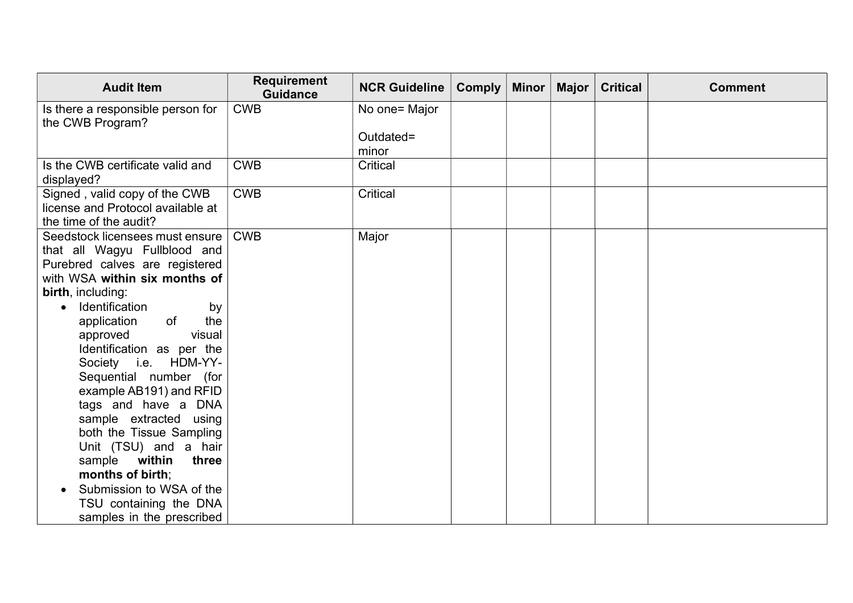| <b>Audit Item</b>                                     | <b>Requirement</b><br><b>Guidance</b> | <b>NCR Guideline</b> | <b>Comply</b> | <b>Minor</b> | Major $ $ | <b>Critical</b> | <b>Comment</b> |
|-------------------------------------------------------|---------------------------------------|----------------------|---------------|--------------|-----------|-----------------|----------------|
| Is there a responsible person for<br>the CWB Program? | <b>CWB</b>                            | No one= Major        |               |              |           |                 |                |
|                                                       |                                       | Outdated=            |               |              |           |                 |                |
|                                                       |                                       | minor                |               |              |           |                 |                |
| Is the CWB certificate valid and<br>displayed?        | <b>CWB</b>                            | Critical             |               |              |           |                 |                |
| Signed, valid copy of the CWB                         | <b>CWB</b>                            | Critical             |               |              |           |                 |                |
| license and Protocol available at                     |                                       |                      |               |              |           |                 |                |
| the time of the audit?                                |                                       |                      |               |              |           |                 |                |
| Seedstock licensees must ensure                       | <b>CWB</b>                            | Major                |               |              |           |                 |                |
| that all Wagyu Fullblood and                          |                                       |                      |               |              |           |                 |                |
| Purebred calves are registered                        |                                       |                      |               |              |           |                 |                |
| with WSA within six months of                         |                                       |                      |               |              |           |                 |                |
| birth, including:                                     |                                       |                      |               |              |           |                 |                |
| Identification<br>by<br>$\bullet$                     |                                       |                      |               |              |           |                 |                |
| application<br>of<br>the                              |                                       |                      |               |              |           |                 |                |
| approved<br>visual                                    |                                       |                      |               |              |           |                 |                |
| Identification as per the                             |                                       |                      |               |              |           |                 |                |
| HDM-YY-<br>Society i.e.                               |                                       |                      |               |              |           |                 |                |
| Sequential number (for                                |                                       |                      |               |              |           |                 |                |
| example AB191) and RFID                               |                                       |                      |               |              |           |                 |                |
| tags and have a DNA                                   |                                       |                      |               |              |           |                 |                |
| sample extracted using                                |                                       |                      |               |              |           |                 |                |
| both the Tissue Sampling                              |                                       |                      |               |              |           |                 |                |
| Unit (TSU) and a hair                                 |                                       |                      |               |              |           |                 |                |
| sample<br>within<br>three                             |                                       |                      |               |              |           |                 |                |
| months of birth;                                      |                                       |                      |               |              |           |                 |                |
| Submission to WSA of the                              |                                       |                      |               |              |           |                 |                |
| TSU containing the DNA                                |                                       |                      |               |              |           |                 |                |
| samples in the prescribed                             |                                       |                      |               |              |           |                 |                |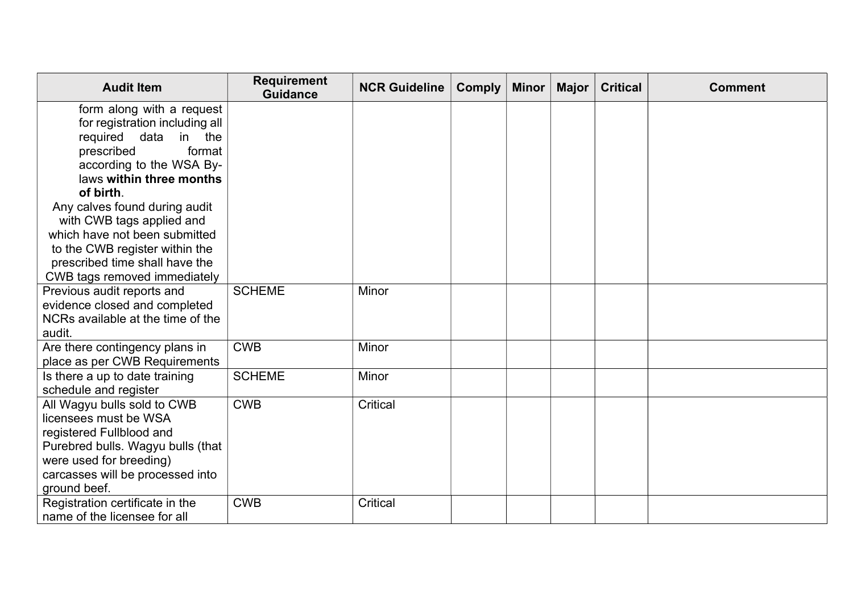| <b>Audit Item</b>                                                                                                                                                                                                                                                                                                 | <b>Requirement</b><br><b>Guidance</b> | <b>NCR Guideline</b> | <b>Comply</b> | <b>Minor</b> | <b>Major</b> | <b>Critical</b> | <b>Comment</b> |
|-------------------------------------------------------------------------------------------------------------------------------------------------------------------------------------------------------------------------------------------------------------------------------------------------------------------|---------------------------------------|----------------------|---------------|--------------|--------------|-----------------|----------------|
| form along with a request<br>for registration including all<br>required data in the<br>prescribed<br>format<br>according to the WSA By-<br>laws within three months<br>of birth.<br>Any calves found during audit<br>with CWB tags applied and<br>which have not been submitted<br>to the CWB register within the |                                       |                      |               |              |              |                 |                |
| prescribed time shall have the<br>CWB tags removed immediately                                                                                                                                                                                                                                                    |                                       |                      |               |              |              |                 |                |
| Previous audit reports and<br>evidence closed and completed<br>NCRs available at the time of the<br>audit.                                                                                                                                                                                                        | <b>SCHEME</b>                         | Minor                |               |              |              |                 |                |
| Are there contingency plans in<br>place as per CWB Requirements                                                                                                                                                                                                                                                   | <b>CWB</b>                            | Minor                |               |              |              |                 |                |
| Is there a up to date training<br>schedule and register                                                                                                                                                                                                                                                           | <b>SCHEME</b>                         | Minor                |               |              |              |                 |                |
| All Wagyu bulls sold to CWB<br>licensees must be WSA<br>registered Fullblood and<br>Purebred bulls. Wagyu bulls (that<br>were used for breeding)<br>carcasses will be processed into<br>ground beef.                                                                                                              | <b>CWB</b>                            | Critical             |               |              |              |                 |                |
| Registration certificate in the<br>name of the licensee for all                                                                                                                                                                                                                                                   | <b>CWB</b>                            | Critical             |               |              |              |                 |                |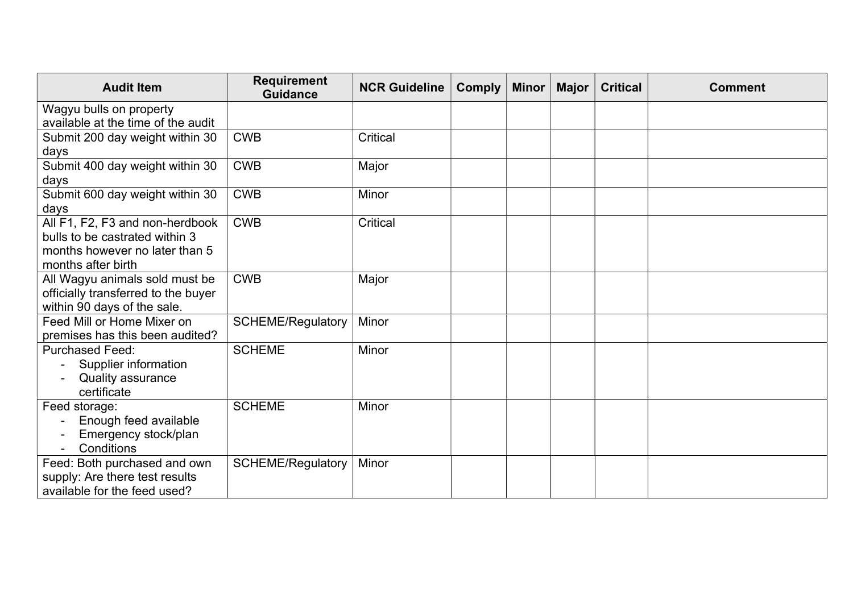| <b>Audit Item</b>                                                                                                         | <b>Requirement</b><br><b>Guidance</b> | <b>NCR Guideline</b> | Comply | <b>Minor</b> | Major | <b>Critical</b> | <b>Comment</b> |
|---------------------------------------------------------------------------------------------------------------------------|---------------------------------------|----------------------|--------|--------------|-------|-----------------|----------------|
| Wagyu bulls on property<br>available at the time of the audit                                                             |                                       |                      |        |              |       |                 |                |
| Submit 200 day weight within 30<br>days                                                                                   | <b>CWB</b>                            | Critical             |        |              |       |                 |                |
| Submit 400 day weight within 30<br>days                                                                                   | <b>CWB</b>                            | Major                |        |              |       |                 |                |
| Submit 600 day weight within 30<br>days                                                                                   | <b>CWB</b>                            | Minor                |        |              |       |                 |                |
| All F1, F2, F3 and non-herdbook<br>bulls to be castrated within 3<br>months however no later than 5<br>months after birth | <b>CWB</b>                            | Critical             |        |              |       |                 |                |
| All Wagyu animals sold must be<br>officially transferred to the buyer<br>within 90 days of the sale.                      | <b>CWB</b>                            | Major                |        |              |       |                 |                |
| Feed Mill or Home Mixer on<br>premises has this been audited?                                                             | <b>SCHEME/Regulatory</b>              | Minor                |        |              |       |                 |                |
| <b>Purchased Feed:</b><br>Supplier information<br><b>Quality assurance</b><br>certificate                                 | <b>SCHEME</b>                         | Minor                |        |              |       |                 |                |
| Feed storage:<br>Enough feed available<br>Emergency stock/plan<br>Conditions                                              | <b>SCHEME</b>                         | Minor                |        |              |       |                 |                |
| Feed: Both purchased and own<br>supply: Are there test results<br>available for the feed used?                            | <b>SCHEME/Regulatory</b>              | Minor                |        |              |       |                 |                |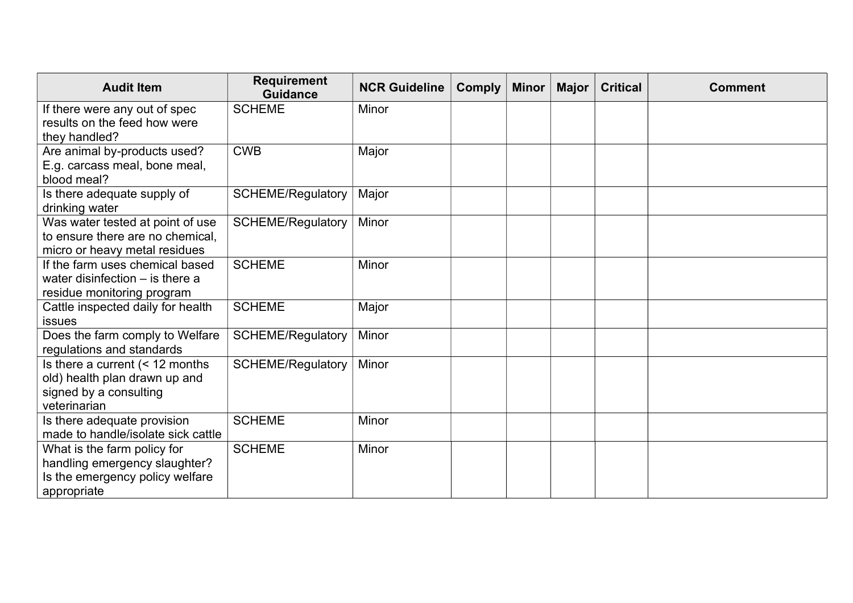| <b>Audit Item</b>                                                                                              | <b>Requirement</b><br><b>Guidance</b> | <b>NCR Guideline</b> | <b>Comply</b> | <b>Minor</b> | <b>Major</b> | <b>Critical</b> | <b>Comment</b> |
|----------------------------------------------------------------------------------------------------------------|---------------------------------------|----------------------|---------------|--------------|--------------|-----------------|----------------|
| If there were any out of spec<br>results on the feed how were                                                  | <b>SCHEME</b>                         | Minor                |               |              |              |                 |                |
| they handled?<br>Are animal by-products used?                                                                  | <b>CWB</b>                            | Major                |               |              |              |                 |                |
| E.g. carcass meal, bone meal,<br>blood meal?                                                                   |                                       |                      |               |              |              |                 |                |
| Is there adequate supply of<br>drinking water                                                                  | SCHEME/Regulatory                     | Major                |               |              |              |                 |                |
| Was water tested at point of use<br>to ensure there are no chemical,<br>micro or heavy metal residues          | SCHEME/Regulatory                     | Minor                |               |              |              |                 |                |
| If the farm uses chemical based<br>water disinfection - is there a<br>residue monitoring program               | <b>SCHEME</b>                         | Minor                |               |              |              |                 |                |
| Cattle inspected daily for health<br>issues                                                                    | <b>SCHEME</b>                         | Major                |               |              |              |                 |                |
| Does the farm comply to Welfare<br>regulations and standards                                                   | SCHEME/Regulatory                     | Minor                |               |              |              |                 |                |
| Is there a current $($ < 12 months<br>old) health plan drawn up and<br>signed by a consulting<br>veterinarian  | SCHEME/Regulatory                     | Minor                |               |              |              |                 |                |
| Is there adequate provision<br>made to handle/isolate sick cattle                                              | <b>SCHEME</b>                         | Minor                |               |              |              |                 |                |
| What is the farm policy for<br>handling emergency slaughter?<br>Is the emergency policy welfare<br>appropriate | <b>SCHEME</b>                         | Minor                |               |              |              |                 |                |